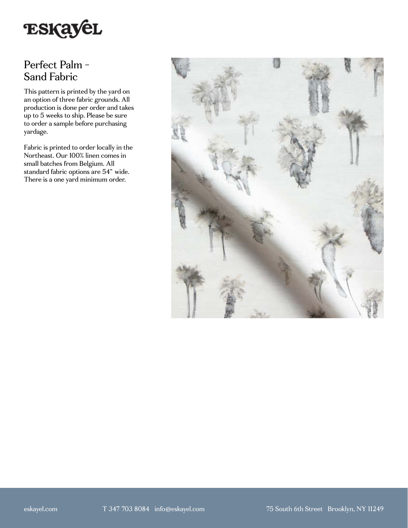

## Perfect Palm - Sand Fabric

This pattern is printed by the yard on an option of three fabric grounds. All production is done per order and takes up to 5 weeks to ship. Please be sure to order a sample before purchasing yardage.

Fabric is printed to order locally in the Northeast. Our 100% linen comes in small batches from Belgium. All standard fabric options are 54" wide. There is a one yard minimum order.

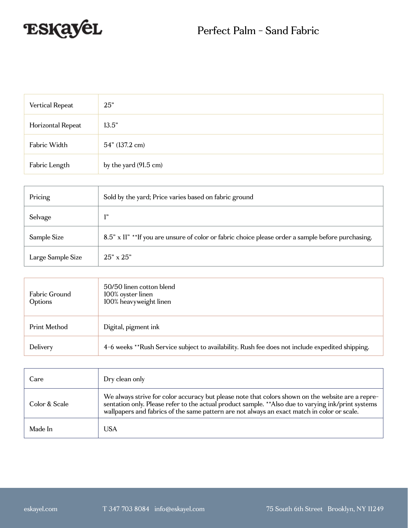

| Vertical Repeat   | 25"                   |
|-------------------|-----------------------|
| Horizontal Repeat | 13.5"                 |
| Fabric Width      | 54" (137.2 cm)        |
| Fabric Length     | by the yard (91.5 cm) |

| Pricing           | Sold by the yard; Price varies based on fabric ground                                             |
|-------------------|---------------------------------------------------------------------------------------------------|
| Selvage           | 1"                                                                                                |
| Sample Size       | 8.5" x 11" **If you are unsure of color or fabric choice please order a sample before purchasing. |
| Large Sample Size | $25" \times 25"$                                                                                  |

| Fabric Ground<br>Options | 50/50 linen cotton blend<br>100% oyster linen<br>100% heavyweight linen                         |
|--------------------------|-------------------------------------------------------------------------------------------------|
| Print Method             | Digital, pigment ink                                                                            |
| Delivery                 | 4-6 weeks **Rush Service subject to availability. Rush fee does not include expedited shipping. |

| Care          | Dry clean only                                                                                                                                                                                                                                                                                          |
|---------------|---------------------------------------------------------------------------------------------------------------------------------------------------------------------------------------------------------------------------------------------------------------------------------------------------------|
| Color & Scale | We always strive for color accuracy but please note that colors shown on the website are a repre-<br>sentation only. Please refer to the actual product sample. ** Also due to varying ink/print systems<br>wallpapers and fabrics of the same pattern are not always an exact match in color or scale. |
| Made In       | USA                                                                                                                                                                                                                                                                                                     |